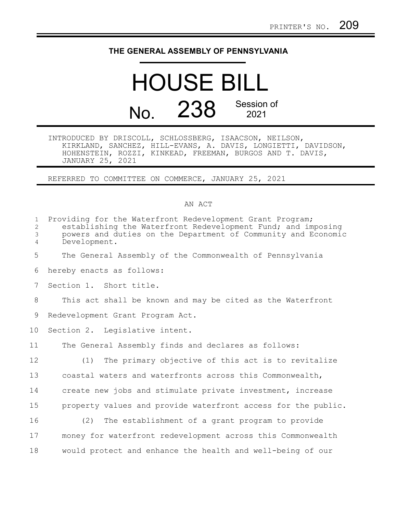## **THE GENERAL ASSEMBLY OF PENNSYLVANIA**

## HOUSE BILL No. 238 Session of 2021

INTRODUCED BY DRISCOLL, SCHLOSSBERG, ISAACSON, NEILSON, KIRKLAND, SANCHEZ, HILL-EVANS, A. DAVIS, LONGIETTI, DAVIDSON, HOHENSTEIN, ROZZI, KINKEAD, FREEMAN, BURGOS AND T. DAVIS, JANUARY 25, 2021

REFERRED TO COMMITTEE ON COMMERCE, JANUARY 25, 2021

## AN ACT

| $\mathbf{1}$<br>2<br>$\mathfrak{Z}$<br>$\overline{4}$ | Providing for the Waterfront Redevelopment Grant Program;<br>establishing the Waterfront Redevelopment Fund; and imposing<br>powers and duties on the Department of Community and Economic<br>Development. |
|-------------------------------------------------------|------------------------------------------------------------------------------------------------------------------------------------------------------------------------------------------------------------|
| 5                                                     | The General Assembly of the Commonwealth of Pennsylvania                                                                                                                                                   |
| 6                                                     | hereby enacts as follows:                                                                                                                                                                                  |
| 7                                                     | Section 1. Short title.                                                                                                                                                                                    |
| 8                                                     | This act shall be known and may be cited as the Waterfront                                                                                                                                                 |
| 9                                                     | Redevelopment Grant Program Act.                                                                                                                                                                           |
| 10                                                    | Section 2. Legislative intent.                                                                                                                                                                             |
| 11                                                    | The General Assembly finds and declares as follows:                                                                                                                                                        |
| 12                                                    | The primary objective of this act is to revitalize<br>(1)                                                                                                                                                  |
| 13                                                    | coastal waters and waterfronts across this Commonwealth,                                                                                                                                                   |
| 14                                                    | create new jobs and stimulate private investment, increase                                                                                                                                                 |
| 15                                                    | property values and provide waterfront access for the public.                                                                                                                                              |
| 16                                                    | (2) The establishment of a grant program to provide                                                                                                                                                        |
| 17                                                    | money for waterfront redevelopment across this Commonwealth                                                                                                                                                |
| 18                                                    | would protect and enhance the health and well-being of our                                                                                                                                                 |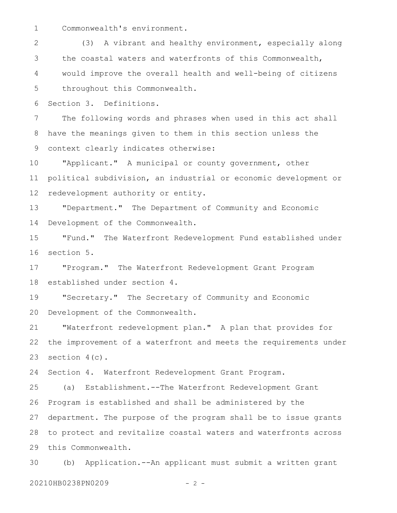Commonwealth's environment. 1

(3) A vibrant and healthy environment, especially along the coastal waters and waterfronts of this Commonwealth, would improve the overall health and well-being of citizens throughout this Commonwealth. 2 3 4 5

Section 3. Definitions. 6

The following words and phrases when used in this act shall have the meanings given to them in this section unless the context clearly indicates otherwise: 7 8 9

"Applicant." A municipal or county government, other political subdivision, an industrial or economic development or redevelopment authority or entity. 10 11 12

"Department." The Department of Community and Economic Development of the Commonwealth. 13 14

"Fund." The Waterfront Redevelopment Fund established under section 5. 15 16

"Program." The Waterfront Redevelopment Grant Program established under section 4. 17 18

"Secretary." The Secretary of Community and Economic Development of the Commonwealth. 19 20

"Waterfront redevelopment plan." A plan that provides for the improvement of a waterfront and meets the requirements under section  $4(c)$ . 21 22 23

Section 4. Waterfront Redevelopment Grant Program. 24

(a) Establishment.--The Waterfront Redevelopment Grant Program is established and shall be administered by the department. The purpose of the program shall be to issue grants to protect and revitalize coastal waters and waterfronts across this Commonwealth. 25 26 27 28 29

(b) Application.--An applicant must submit a written grant 30

20210HB0238PN0209 - 2 -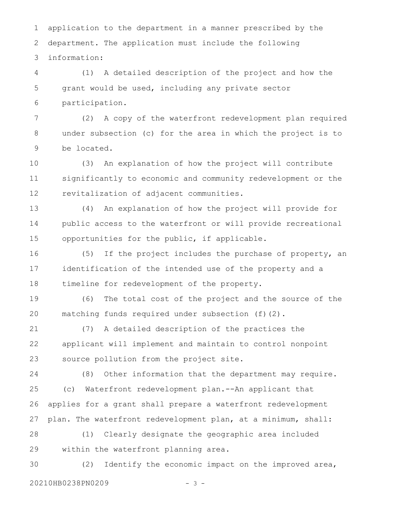application to the department in a manner prescribed by the department. The application must include the following information: 1 2 3

(1) A detailed description of the project and how the grant would be used, including any private sector participation. 4 5 6

(2) A copy of the waterfront redevelopment plan required under subsection (c) for the area in which the project is to be located. 7 8 9

(3) An explanation of how the project will contribute significantly to economic and community redevelopment or the revitalization of adjacent communities. 10 11 12

(4) An explanation of how the project will provide for public access to the waterfront or will provide recreational opportunities for the public, if applicable. 13 14 15

(5) If the project includes the purchase of property, an identification of the intended use of the property and a timeline for redevelopment of the property. 16 17 18

(6) The total cost of the project and the source of the matching funds required under subsection (f)(2). 19 20

(7) A detailed description of the practices the applicant will implement and maintain to control nonpoint source pollution from the project site. 21 22 23

(8) Other information that the department may require. (c) Waterfront redevelopment plan.--An applicant that applies for a grant shall prepare a waterfront redevelopment plan. The waterfront redevelopment plan, at a minimum, shall: 24 25 26 27

(1) Clearly designate the geographic area included within the waterfront planning area. 28 29

(2) Identify the economic impact on the improved area, 20210HB0238PN0209 - 3 - 30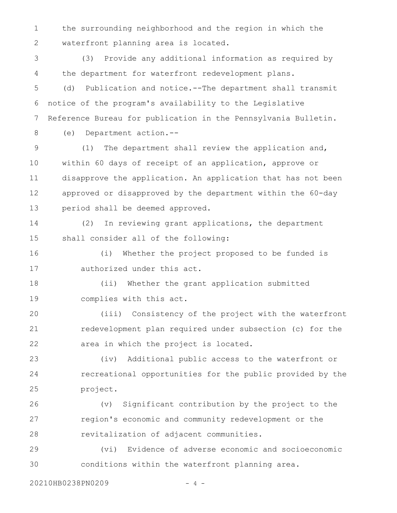the surrounding neighborhood and the region in which the waterfront planning area is located. 1 2

(3) Provide any additional information as required by the department for waterfront redevelopment plans. 3 4

(d) Publication and notice.--The department shall transmit notice of the program's availability to the Legislative Reference Bureau for publication in the Pennsylvania Bulletin. 5 6 7

8

(e) Department action.--

(1) The department shall review the application and, within 60 days of receipt of an application, approve or disapprove the application. An application that has not been approved or disapproved by the department within the 60-day period shall be deemed approved. 9 10 11 12 13

(2) In reviewing grant applications, the department shall consider all of the following: 14 15

(i) Whether the project proposed to be funded is authorized under this act. 16 17

(ii) Whether the grant application submitted complies with this act. 18 19

(iii) Consistency of the project with the waterfront redevelopment plan required under subsection (c) for the area in which the project is located. 20 21 22

(iv) Additional public access to the waterfront or recreational opportunities for the public provided by the project. 23 24 25

(v) Significant contribution by the project to the region's economic and community redevelopment or the revitalization of adjacent communities. 26 27 28

(vi) Evidence of adverse economic and socioeconomic conditions within the waterfront planning area. 29 30

20210HB0238PN0209 - 4 -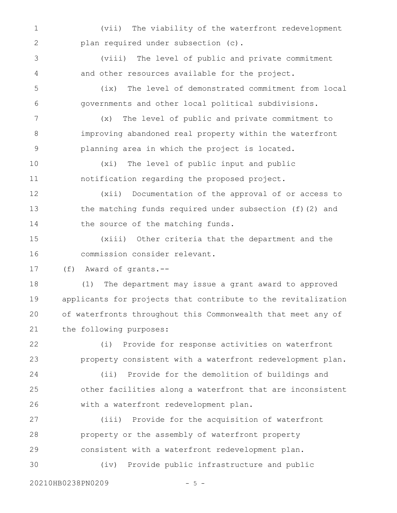(vii) The viability of the waterfront redevelopment plan required under subsection (c). 1 2

(viii) The level of public and private commitment and other resources available for the project. 3 4

(ix) The level of demonstrated commitment from local governments and other local political subdivisions. 5 6

(x) The level of public and private commitment to improving abandoned real property within the waterfront planning area in which the project is located. 7 8 9

(xi) The level of public input and public notification regarding the proposed project. 10 11

(xii) Documentation of the approval of or access to the matching funds required under subsection (f)(2) and the source of the matching funds. 12 13 14

(xiii) Other criteria that the department and the commission consider relevant. 15 16

(f) Award of grants.-- 17

(1) The department may issue a grant award to approved applicants for projects that contribute to the revitalization of waterfronts throughout this Commonwealth that meet any of the following purposes: 18 19 20 21

(i) Provide for response activities on waterfront property consistent with a waterfront redevelopment plan. (ii) Provide for the demolition of buildings and other facilities along a waterfront that are inconsistent with a waterfront redevelopment plan. 22 23 24 25 26

(iii) Provide for the acquisition of waterfront property or the assembly of waterfront property consistent with a waterfront redevelopment plan. 27 28 29

(iv) Provide public infrastructure and public 30

20210HB0238PN0209 - 5 -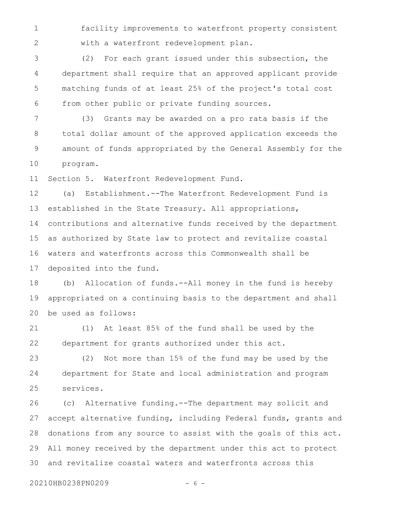facility improvements to waterfront property consistent with a waterfront redevelopment plan. 1 2

(2) For each grant issued under this subsection, the department shall require that an approved applicant provide matching funds of at least 25% of the project's total cost from other public or private funding sources. 3 4 5 6

(3) Grants may be awarded on a pro rata basis if the total dollar amount of the approved application exceeds the amount of funds appropriated by the General Assembly for the program. 7 8 9 10

Section 5. Waterfront Redevelopment Fund. 11

(a) Establishment.--The Waterfront Redevelopment Fund is established in the State Treasury. All appropriations, contributions and alternative funds received by the department as authorized by State law to protect and revitalize coastal waters and waterfronts across this Commonwealth shall be deposited into the fund. 12 13 14 15 16 17

(b) Allocation of funds.--All money in the fund is hereby appropriated on a continuing basis to the department and shall be used as follows: 18 19 20

(1) At least 85% of the fund shall be used by the department for grants authorized under this act. 21 22

(2) Not more than 15% of the fund may be used by the department for State and local administration and program services. 23 24 25

(c) Alternative funding.--The department may solicit and accept alternative funding, including Federal funds, grants and donations from any source to assist with the goals of this act. All money received by the department under this act to protect and revitalize coastal waters and waterfronts across this 26 27 28 29 30

20210HB0238PN0209 - 6 -